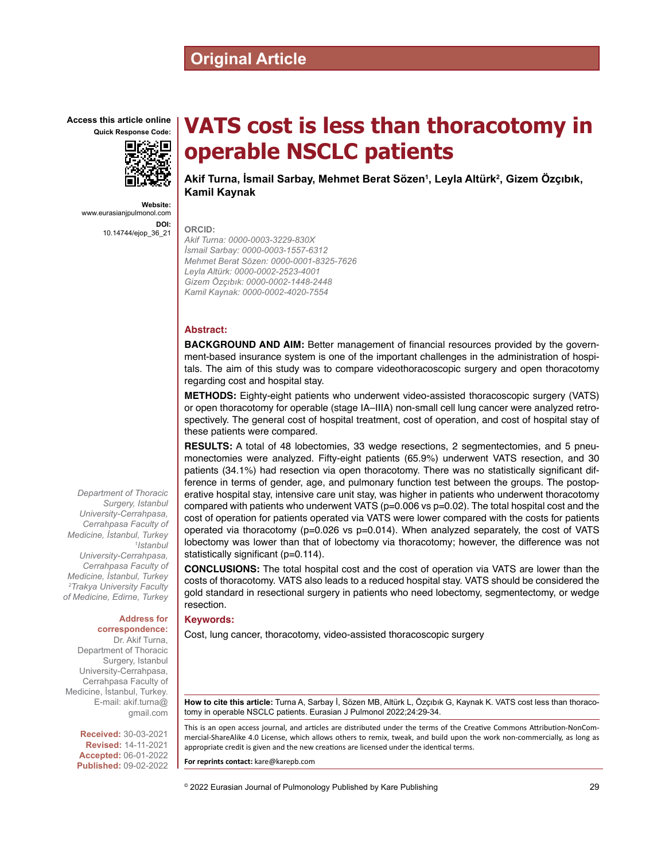## **Original Article**

**Access this article online**



**Website:** www.eurasianjpulmonol.com **DOI:** 10.14744/ejop\_36\_21

# **VATS cost is less than thoracotomy in operable NSCLC patients**

**Akif Turna, İsmail Sarbay, Mehmet Berat Sözen<sup>1</sup> , Leyla Altürk<sup>2</sup> , Gizem Özçıbık, Kamil Kaynak**

**ORCID:**

*Akif Turna: 0000-0003-3229-830X İsmail Sarbay: 0000-0003-1557-6312 Mehmet Berat Sözen: 0000-0001-8325-7626 Leyla Altürk: 0000-0002-2523-4001 Gizem Özçıbık: 0000-0002-1448-2448 Kamil Kaynak: 0000-0002-4020-7554*

#### **Abstract:**

**BACKGROUND AND AIM:** Better management of financial resources provided by the government-based insurance system is one of the important challenges in the administration of hospitals. The aim of this study was to compare videothoracoscopic surgery and open thoracotomy regarding cost and hospital stay.

**METHODS:** Eighty-eight patients who underwent video-assisted thoracoscopic surgery (VATS) or open thoracotomy for operable (stage IA–IIIA) non-small cell lung cancer were analyzed retrospectively. The general cost of hospital treatment, cost of operation, and cost of hospital stay of these patients were compared.

**RESULTS:** A total of 48 lobectomies, 33 wedge resections, 2 segmentectomies, and 5 pneumonectomies were analyzed. Fifty-eight patients (65.9%) underwent VATS resection, and 30 patients (34.1%) had resection via open thoracotomy. There was no statistically significant difference in terms of gender, age, and pulmonary function test between the groups. The postoperative hospital stay, intensive care unit stay, was higher in patients who underwent thoracotomy compared with patients who underwent VATS (p=0.006 vs p=0.02). The total hospital cost and the cost of operation for patients operated via VATS were lower compared with the costs for patients operated via thoracotomy ( $p=0.026$  vs  $p=0.014$ ). When analyzed separately, the cost of VATS lobectomy was lower than that of lobectomy via thoracotomy; however, the difference was not statistically significant (p=0.114).

**CONCLUSIONS:** The total hospital cost and the cost of operation via VATS are lower than the costs of thoracotomy. VATS also leads to a reduced hospital stay. VATS should be considered the gold standard in resectional surgery in patients who need lobectomy, segmentectomy, or wedge resection.

#### **Keywords:**

Cost, lung cancer, thoracotomy, video-assisted thoracoscopic surgery

**How to cite this article:** Turna A, Sarbay İ, Sözen MB, Altürk L, Özçıbık G, Kaynak K. VATS cost less than thoracotomy in operable NSCLC patients. Eurasian J Pulmonol 2022;24:29-34.

This is an open access journal, and articles are distributed under the terms of the Creative Commons Attribution-NonCommercial‑ShareAlike 4.0 License, which allows others to remix, tweak, and build upon the work non‑commercially, as long as appropriate credit is given and the new creations are licensed under the identical terms.

**For reprints contact:** kare@karepb.com

© 2022 Eurasian Journal of Pulmonology Published by Kare Publishing

*Department of Thoracic Surgery, Istanbul University-Cerrahpasa, Cerrahpasa Faculty of Medicine, İstanbul, Turkey 1 Istanbul University-Cerrahpasa, Cerrahpasa Faculty of Medicine, İstanbul, Turkey 2 Trakya University Faculty of Medicine, Edirne, Turkey*

#### **Address for correspondence:**

Dr. Akif Turna, Department of Thoracic Surgery, Istanbul University-Cerrahpasa, Cerrahpasa Faculty of Medicine, İstanbul, Turkey. E-mail: akif.turna@ gmail.com

> **Received:** 30-03-2021 **Revised:** 14-11-2021 **Accepted:** 06-01-2022 **Published:** 09-02-2022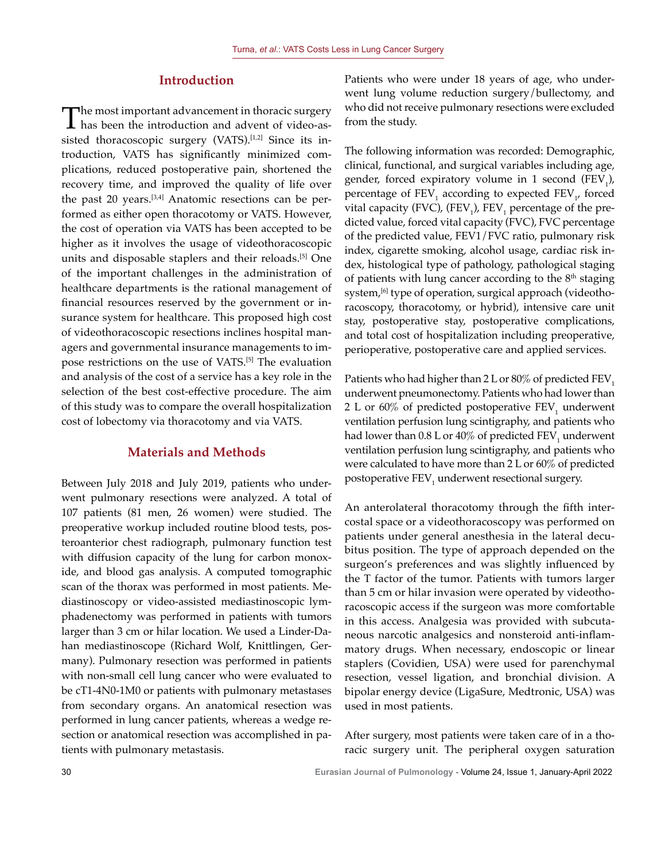## **Introduction**

The most important advancement in thoracic surgery<br>has been the introduction and advent of video-assisted thoracoscopic surgery (VATS).<sup>[1,2]</sup> Since its introduction, VATS has significantly minimized complications, reduced postoperative pain, shortened the recovery time, and improved the quality of life over the past 20 years.[3,4] Anatomic resections can be performed as either open thoracotomy or VATS. However, the cost of operation via VATS has been accepted to be higher as it involves the usage of videothoracoscopic units and disposable staplers and their reloads.<sup>[5]</sup> One of the important challenges in the administration of healthcare departments is the rational management of financial resources reserved by the government or insurance system for healthcare. This proposed high cost of videothoracoscopic resections inclines hospital managers and governmental insurance managements to impose restrictions on the use of VATS.<sup>[5]</sup> The evaluation and analysis of the cost of a service has a key role in the selection of the best cost-effective procedure. The aim of this study was to compare the overall hospitalization cost of lobectomy via thoracotomy and via VATS.

## **Materials and Methods**

Between July 2018 and July 2019, patients who underwent pulmonary resections were analyzed. A total of 107 patients (81 men, 26 women) were studied. The preoperative workup included routine blood tests, posteroanterior chest radiograph, pulmonary function test with diffusion capacity of the lung for carbon monoxide, and blood gas analysis. A computed tomographic scan of the thorax was performed in most patients. Mediastinoscopy or video-assisted mediastinoscopic lymphadenectomy was performed in patients with tumors larger than 3 cm or hilar location. We used a Linder-Dahan mediastinoscope (Richard Wolf, Knittlingen, Germany). Pulmonary resection was performed in patients with non-small cell lung cancer who were evaluated to be cT1-4N0-1M0 or patients with pulmonary metastases from secondary organs. An anatomical resection was performed in lung cancer patients, whereas a wedge resection or anatomical resection was accomplished in patients with pulmonary metastasis.

Patients who were under 18 years of age, who underwent lung volume reduction surgery/bullectomy, and who did not receive pulmonary resections were excluded from the study.

The following information was recorded: Demographic, clinical, functional, and surgical variables including age, gender, forced expiratory volume in 1 second  $(FEV_{1})$ , percentage of  $\text{FEV}_1$  according to expected  $\text{FEV}_1$ , forced vital capacity (FVC), (FEV<sub>1</sub>), FEV<sub>1</sub> percentage of the predicted value, forced vital capacity (FVC), FVC percentage of the predicted value, FEV1/FVC ratio, pulmonary risk index, cigarette smoking, alcohol usage, cardiac risk index, histological type of pathology, pathological staging of patients with lung cancer according to the  $8<sup>th</sup>$  staging system,<sup>[6]</sup> type of operation, surgical approach (videothoracoscopy, thoracotomy, or hybrid), intensive care unit stay, postoperative stay, postoperative complications, and total cost of hospitalization including preoperative, perioperative, postoperative care and applied services.

Patients who had higher than  $2 L$  or  $80\%$  of predicted FEV<sub>1</sub> underwent pneumonectomy. Patients who had lower than 2 L or 60% of predicted postoperative  $\text{FEV}_1$  underwent ventilation perfusion lung scintigraphy, and patients who had lower than  $0.8$  L or  $40\%$  of predicted FEV<sub>1</sub> underwent ventilation perfusion lung scintigraphy, and patients who were calculated to have more than 2 L or 60% of predicted postoperative  $\mathrm{FEV}_1$  underwent resectional surgery.

An anterolateral thoracotomy through the fifth intercostal space or a videothoracoscopy was performed on patients under general anesthesia in the lateral decubitus position. The type of approach depended on the surgeon's preferences and was slightly influenced by the T factor of the tumor. Patients with tumors larger than 5 cm or hilar invasion were operated by videothoracoscopic access if the surgeon was more comfortable in this access. Analgesia was provided with subcutaneous narcotic analgesics and nonsteroid anti-inflammatory drugs. When necessary, endoscopic or linear staplers (Covidien, USA) were used for parenchymal resection, vessel ligation, and bronchial division. A bipolar energy device (LigaSure, Medtronic, USA) was used in most patients.

After surgery, most patients were taken care of in a thoracic surgery unit. The peripheral oxygen saturation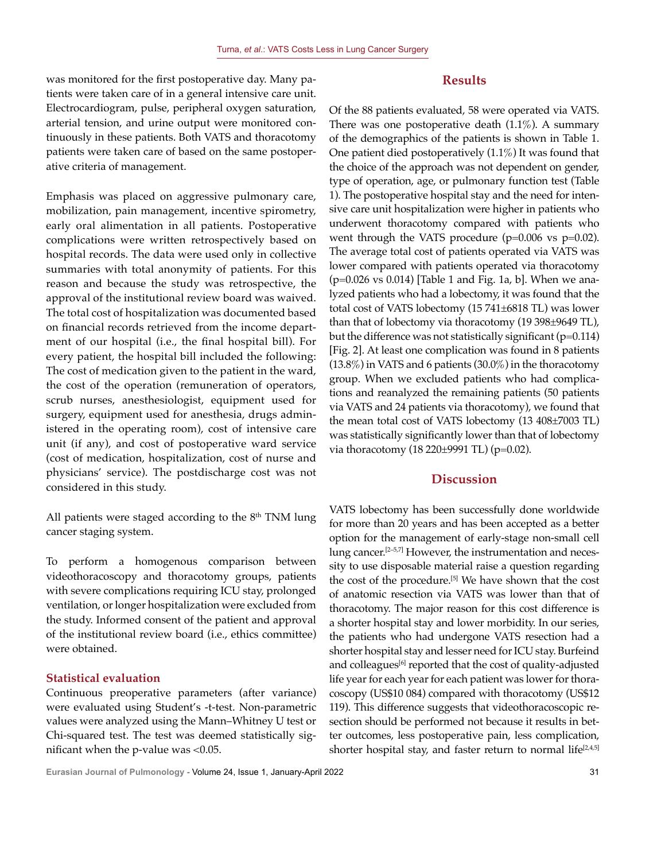was monitored for the first postoperative day. Many patients were taken care of in a general intensive care unit. Electrocardiogram, pulse, peripheral oxygen saturation, arterial tension, and urine output were monitored continuously in these patients. Both VATS and thoracotomy patients were taken care of based on the same postoperative criteria of management.

Emphasis was placed on aggressive pulmonary care, mobilization, pain management, incentive spirometry, early oral alimentation in all patients. Postoperative complications were written retrospectively based on hospital records. The data were used only in collective summaries with total anonymity of patients. For this reason and because the study was retrospective, the approval of the institutional review board was waived. The total cost of hospitalization was documented based on financial records retrieved from the income department of our hospital (i.e., the final hospital bill). For every patient, the hospital bill included the following: The cost of medication given to the patient in the ward, the cost of the operation (remuneration of operators, scrub nurses, anesthesiologist, equipment used for surgery, equipment used for anesthesia, drugs administered in the operating room), cost of intensive care unit (if any), and cost of postoperative ward service (cost of medication, hospitalization, cost of nurse and physicians' service). The postdischarge cost was not considered in this study.

All patients were staged according to the  $8<sup>th</sup>$  TNM lung cancer staging system.

To perform a homogenous comparison between videothoracoscopy and thoracotomy groups, patients with severe complications requiring ICU stay, prolonged ventilation, or longer hospitalization were excluded from the study. Informed consent of the patient and approval of the institutional review board (i.e., ethics committee) were obtained.

## **Statistical evaluation**

Continuous preoperative parameters (after variance) were evaluated using Student's -t-test. Non-parametric values were analyzed using the Mann–Whitney U test or Chi-squared test. The test was deemed statistically significant when the p-value was <0.05.

Of the 88 patients evaluated, 58 were operated via VATS. There was one postoperative death  $(1.1\%)$ . A summary of the demographics of the patients is shown in Table 1. One patient died postoperatively (1.1%) It was found that the choice of the approach was not dependent on gender, type of operation, age, or pulmonary function test (Table 1). The postoperative hospital stay and the need for intensive care unit hospitalization were higher in patients who underwent thoracotomy compared with patients who went through the VATS procedure  $(p=0.006 \text{ vs } p=0.02)$ . The average total cost of patients operated via VATS was lower compared with patients operated via thoracotomy (p=0.026 vs 0.014) [Table 1 and Fig. 1a, b]. When we analyzed patients who had a lobectomy, it was found that the total cost of VATS lobectomy (15 741±6818 TL) was lower than that of lobectomy via thoracotomy (19 398±9649 TL), but the difference was not statistically significant ( $p=0.114$ ) [Fig. 2]. At least one complication was found in 8 patients (13.8%) in VATS and 6 patients (30.0%) in the thoracotomy group. When we excluded patients who had complications and reanalyzed the remaining patients (50 patients via VATS and 24 patients via thoracotomy), we found that the mean total cost of VATS lobectomy (13 408±7003 TL) was statistically significantly lower than that of lobectomy via thoracotomy  $(18 \ 220 \pm 9991 \text{ TL})$  (p=0.02).

## **Discussion**

VATS lobectomy has been successfully done worldwide for more than 20 years and has been accepted as a better option for the management of early-stage non-small cell lung cancer.[2–5,7] However, the instrumentation and necessity to use disposable material raise a question regarding the cost of the procedure.[5] We have shown that the cost of anatomic resection via VATS was lower than that of thoracotomy. The major reason for this cost difference is a shorter hospital stay and lower morbidity. In our series, the patients who had undergone VATS resection had a shorter hospital stay and lesser need for ICU stay. Burfeind and colleagues<sup>[6]</sup> reported that the cost of quality-adjusted life year for each year for each patient was lower for thoracoscopy (US\$10 084) compared with thoracotomy (US\$12 119). This difference suggests that videothoracoscopic resection should be performed not because it results in better outcomes, less postoperative pain, less complication, shorter hospital stay, and faster return to normal life<sup>[2,4,5]</sup>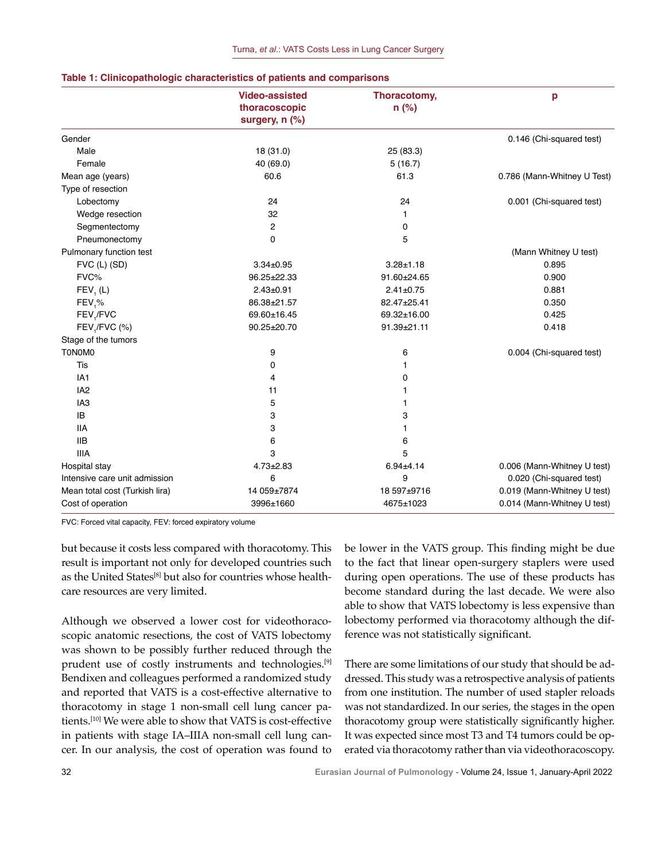|                                | <b>Video-assisted</b><br>thoracoscopic<br>surgery, n (%) | Thoracotomy,<br>$n$ (%) | p                           |
|--------------------------------|----------------------------------------------------------|-------------------------|-----------------------------|
| Gender                         |                                                          |                         | 0.146 (Chi-squared test)    |
| Male                           | 18 (31.0)                                                | 25 (83.3)               |                             |
| Female                         | 40 (69.0)                                                |                         |                             |
| Mean age (years)               | 60.6                                                     | 5(16.7)<br>61.3         | 0.786 (Mann-Whitney U Test) |
| Type of resection              |                                                          |                         |                             |
|                                | 24                                                       | 24                      | 0.001 (Chi-squared test)    |
| Lobectomy                      |                                                          |                         |                             |
| Wedge resection                | 32                                                       | 1                       |                             |
| Segmentectomy                  | $\mathbf{2}$                                             | 0                       |                             |
| Pneumonectomy                  | $\mathbf 0$                                              | 5                       |                             |
| Pulmonary function test        |                                                          |                         | (Mann Whitney U test)       |
| $FVC$ (L) $(SD)$               | $3.34 \pm 0.95$                                          | $3.28 + 1.18$           | 0.895                       |
| FVC%                           | 96.25±22.33                                              | 91.60±24.65             | 0.900                       |
| FEV, (L)                       | $2.43 \pm 0.91$                                          | $2.41 \pm 0.75$         | 0.881                       |
| $FEV, \%$                      | 86.38±21.57                                              | 82.47±25.41             | 0.350                       |
| FEV <sub>1</sub> /FVC          | 69.60±16.45                                              | 69.32±16.00             | 0.425                       |
| FEV,/FVC (%)                   | 90.25±20.70                                              | 91.39±21.11             | 0.418                       |
| Stage of the tumors            |                                                          |                         |                             |
| <b>TONOMO</b>                  | 9                                                        | 6                       | 0.004 (Chi-squared test)    |
| Tis                            | 0                                                        | 1                       |                             |
| IA <sub>1</sub>                | 4                                                        | 0                       |                             |
| IA <sub>2</sub>                | 11                                                       | 1                       |                             |
| IA <sub>3</sub>                | 5                                                        | 1                       |                             |
| IB                             | 3                                                        | 3                       |                             |
| <b>IIA</b>                     | 3                                                        | 1                       |                             |
| <b>IIB</b>                     | 6                                                        | 6                       |                             |
| <b>IIIA</b>                    | 3                                                        | 5                       |                             |
| Hospital stay                  | $4.73 \pm 2.83$                                          | $6.94 \pm 4.14$         | 0.006 (Mann-Whitney U test) |
| Intensive care unit admission  | 6                                                        | 9                       | 0.020 (Chi-squared test)    |
| Mean total cost (Turkish lira) | 14 059±7874                                              | 18 597±9716             | 0.019 (Mann-Whitney U test) |
| Cost of operation              | 3996±1660                                                | 4675±1023               | 0.014 (Mann-Whitney U test) |

#### **Table 1: Clinicopathologic characteristics of patients and comparisons**

FVC: Forced vital capacity, FEV: forced expiratory volume

but because it costs less compared with thoracotomy. This result is important not only for developed countries such as the United States<sup>[8]</sup> but also for countries whose healthcare resources are very limited.

Although we observed a lower cost for videothoracoscopic anatomic resections, the cost of VATS lobectomy was shown to be possibly further reduced through the prudent use of costly instruments and technologies.<sup>[9]</sup> Bendixen and colleagues performed a randomized study and reported that VATS is a cost-effective alternative to thoracotomy in stage 1 non-small cell lung cancer patients.[10] We were able to show that VATS is cost-effective in patients with stage IA–IIIA non-small cell lung cancer. In our analysis, the cost of operation was found to be lower in the VATS group. This finding might be due to the fact that linear open-surgery staplers were used during open operations. The use of these products has become standard during the last decade. We were also able to show that VATS lobectomy is less expensive than lobectomy performed via thoracotomy although the difference was not statistically significant.

There are some limitations of our study that should be addressed. This study was a retrospective analysis of patients from one institution. The number of used stapler reloads was not standardized. In our series, the stages in the open thoracotomy group were statistically significantly higher. It was expected since most T3 and T4 tumors could be operated via thoracotomy rather than via videothoracoscopy.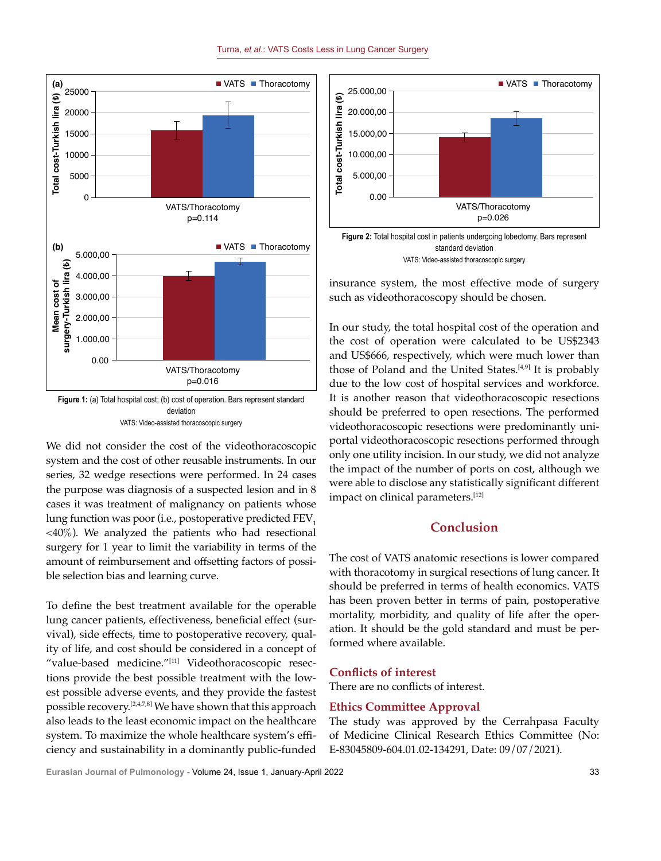

Turna, *et al*.: VATS Costs Less in Lung Cancer Surgery

**Figure 1:** (a) Total hospital cost; (b) cost of operation. Bars represent standard deviation VATS: Video-assisted thoracoscopic surgery

We did not consider the cost of the videothoracoscopic system and the cost of other reusable instruments. In our series, 32 wedge resections were performed. In 24 cases the purpose was diagnosis of a suspected lesion and in 8 cases it was treatment of malignancy on patients whose lung function was poor (i.e., postoperative predicted FEV<sub>1</sub> <40%). We analyzed the patients who had resectional surgery for 1 year to limit the variability in terms of the amount of reimbursement and offsetting factors of possible selection bias and learning curve.

To define the best treatment available for the operable lung cancer patients, effectiveness, beneficial effect (survival), side effects, time to postoperative recovery, quality of life, and cost should be considered in a concept of "value-based medicine."[11] Videothoracoscopic resections provide the best possible treatment with the lowest possible adverse events, and they provide the fastest possible recovery.[2,4,7,8] We have shown that this approach also leads to the least economic impact on the healthcare system. To maximize the whole healthcare system's efficiency and sustainability in a dominantly public-funded



**Figure 2:** Total hospital cost in patients undergoing lobectomy. Bars represent standard deviation VATS: Video-assisted thoracoscopic surgery

insurance system, the most effective mode of surgery such as videothoracoscopy should be chosen.

In our study, the total hospital cost of the operation and the cost of operation were calculated to be US\$2343 and US\$666, respectively, which were much lower than those of Poland and the United States.<sup>[4,9]</sup> It is probably due to the low cost of hospital services and workforce. It is another reason that videothoracoscopic resections should be preferred to open resections. The performed videothoracoscopic resections were predominantly uniportal videothoracoscopic resections performed through only one utility incision. In our study, we did not analyze the impact of the number of ports on cost, although we were able to disclose any statistically significant different impact on clinical parameters.<sup>[12]</sup>

## **Conclusion**

The cost of VATS anatomic resections is lower compared with thoracotomy in surgical resections of lung cancer. It should be preferred in terms of health economics. VATS has been proven better in terms of pain, postoperative mortality, morbidity, and quality of life after the operation. It should be the gold standard and must be performed where available.

## **Conflicts of interest**

There are no conflicts of interest.

## **Ethics Committee Approval**

The study was approved by the Cerrahpasa Faculty of Medicine Clinical Research Ethics Committee (No: E-83045809-604.01.02-134291, Date: 09/07/2021).

**Eurasian Journal of Pulmonology -** Volume 24, Issue 1, January-April 2022 33